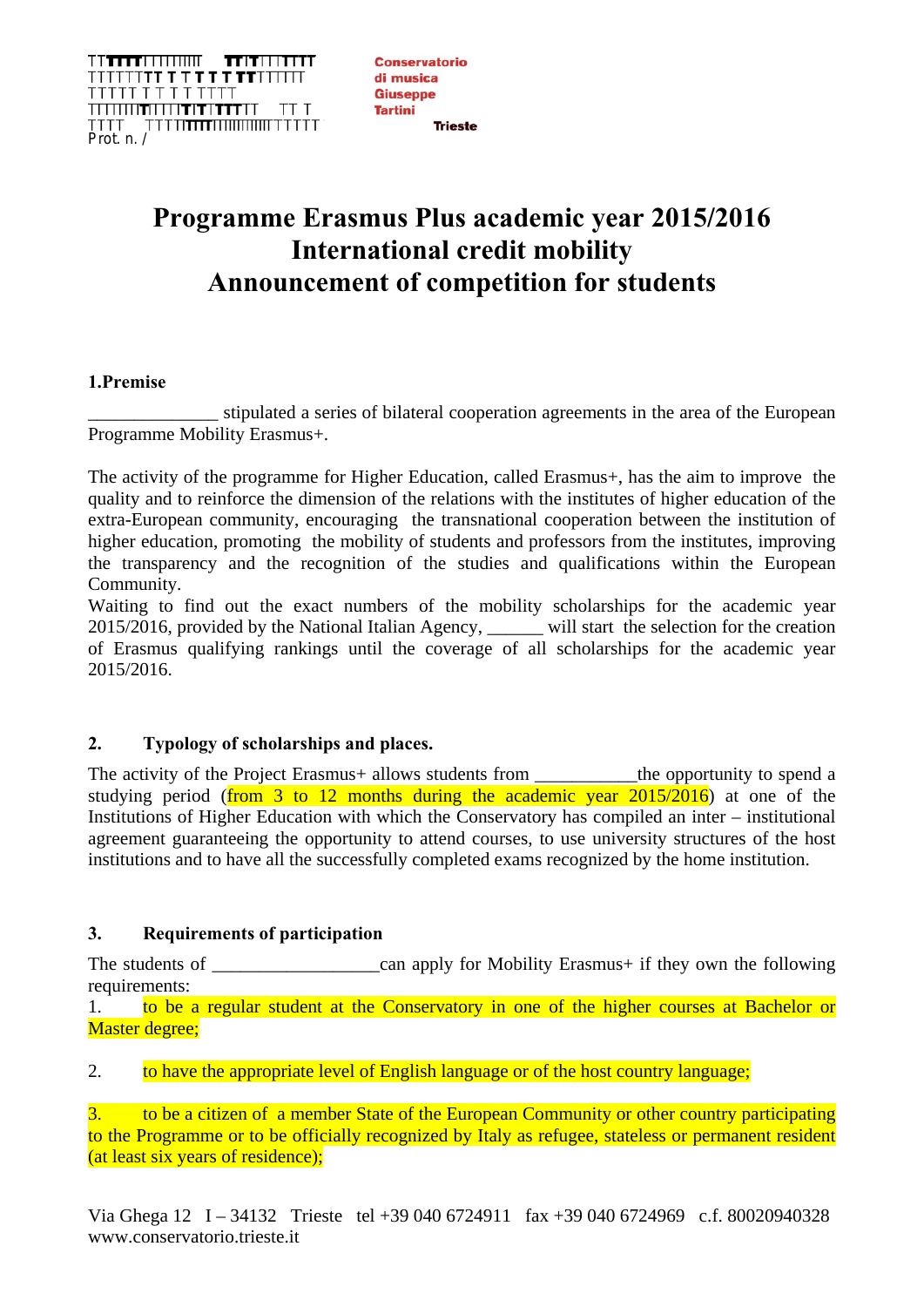**TTTTTTTTTTTTTTTTT**  $\begin{tabular}{c} \bf IT|T|!|11111 \end{tabular}$ ┆┆<sup>╤</sup>┇┇┇**╅╈╶╸╅╻╸┪╶┪╅**┥┆┆┆┆┇<br>┍┍┍┍┎┍╶┍╶┍╶┍╶┍ Prot. n. /

**Conservatorio** di musica **Giuseppe Tartini** 

# **Programme Erasmus Plus academic year 2015/2016 International credit mobility Announcement of competition for students**

## **1.Premise**

stipulated a series of bilateral cooperation agreements in the area of the European Programme Mobility Erasmus+.

The activity of the programme for Higher Education, called Erasmus+, has the aim to improve the quality and to reinforce the dimension of the relations with the institutes of higher education of the extra-European community, encouraging the transnational cooperation between the institution of higher education, promoting the mobility of students and professors from the institutes, improving the transparency and the recognition of the studies and qualifications within the European Community.

Waiting to find out the exact numbers of the mobility scholarships for the academic year 2015/2016, provided by the National Italian Agency, \_\_\_\_\_\_ will start the selection for the creation of Erasmus qualifying rankings until the coverage of all scholarships for the academic year 2015/2016.

# **2. Typology of scholarships and places.**

The activity of the Project Erasmus+ allows students from \_\_\_\_\_\_\_\_\_\_\_the opportunity to spend a studying period (from 3 to 12 months during the academic year  $2015/2016$ ) at one of the Institutions of Higher Education with which the Conservatory has compiled an inter – institutional agreement guaranteeing the opportunity to attend courses, to use university structures of the host institutions and to have all the successfully completed exams recognized by the home institution.

# **3. Requirements of participation**

The students of \_\_\_\_\_\_\_\_\_\_\_\_\_\_\_\_\_\_can apply for Mobility Erasmus+ if they own the following requirements:

1. to be a regular student at the Conservatory in one of the higher courses at Bachelor or Master degree;

2. to have the appropriate level of English language or of the host country language;

3. to be a citizen of a member State of the European Community or other country participating to the Programme or to be officially recognized by Italy as refugee, stateless or permanent resident (at least six years of residence);

Via Ghega 12 I – 34132 Trieste tel +39 040 6724911 fax +39 040 6724969 c.f. 80020940328 www.conservatorio.trieste.it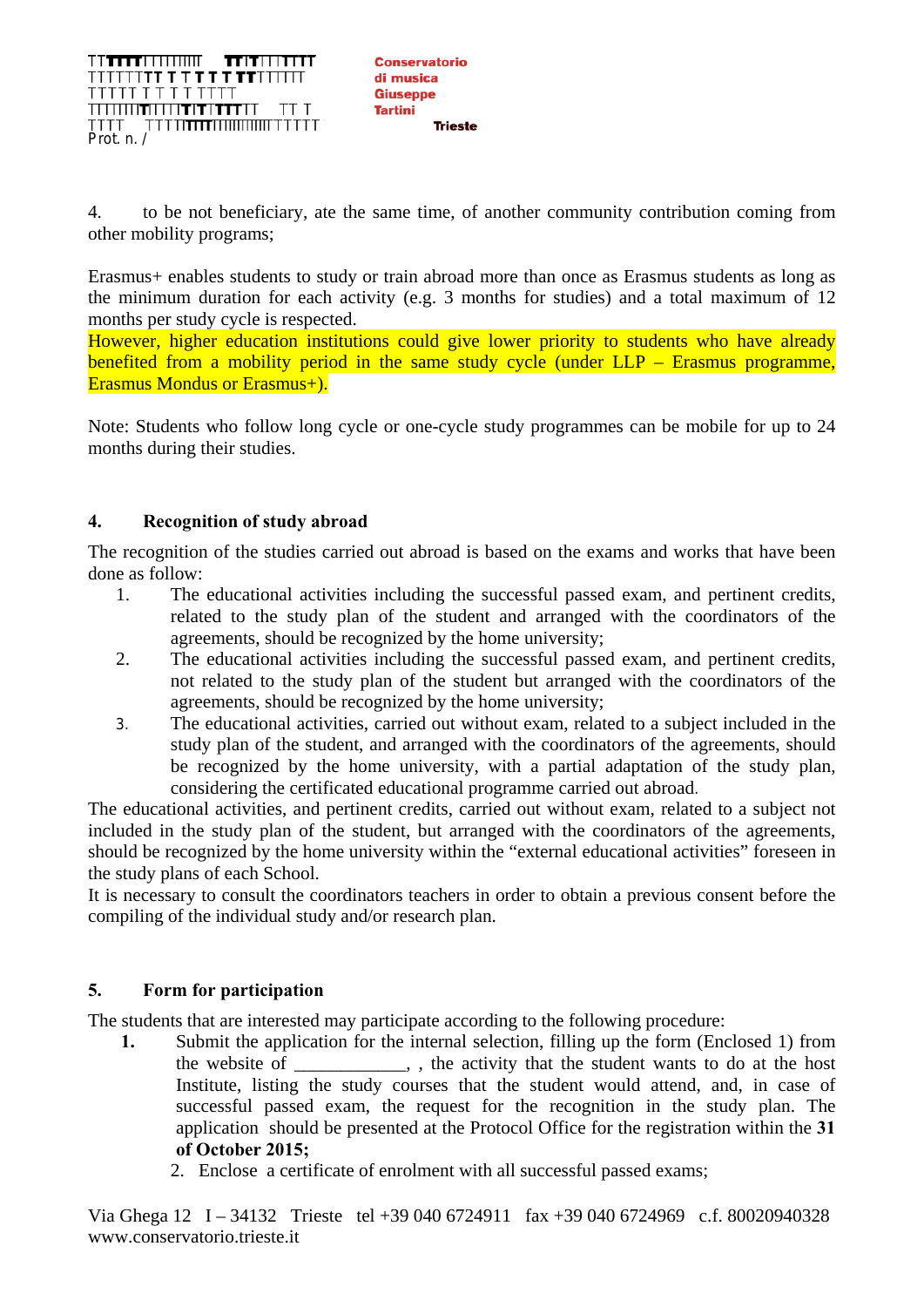TT**TTT**TITIIIIIIT  $\mathbf{H}$  in the  $\mathbf{H}$ ┆┆<sup>╤</sup>┇┇┇**╅╈╶╸╅╻╸┪╺╅╅**┆┆┆┆┪<br>┍┍┍┍┍╶┍╶┍╶┍╶ Prot. n. /

**Conservatorio** di musica Giusenne **Tartini** 

4. to be not beneficiary, ate the same time, of another community contribution coming from other mobility programs;

Erasmus+ enables students to study or train abroad more than once as Erasmus students as long as the minimum duration for each activity (e.g. 3 months for studies) and a total maximum of 12 months per study cycle is respected.

However, higher education institutions could give lower priority to students who have already benefited from a mobility period in the same study cycle (under LLP – Erasmus programme, Erasmus Mondus or Erasmus+).

Note: Students who follow long cycle or one-cycle study programmes can be mobile for up to 24 months during their studies.

# **4. Recognition of study abroad**

The recognition of the studies carried out abroad is based on the exams and works that have been done as follow:

- 1. The educational activities including the successful passed exam, and pertinent credits, related to the study plan of the student and arranged with the coordinators of the agreements, should be recognized by the home university;
- 2. The educational activities including the successful passed exam, and pertinent credits, not related to the study plan of the student but arranged with the coordinators of the agreements, should be recognized by the home university;
- 3. The educational activities, carried out without exam, related to a subject included in the study plan of the student, and arranged with the coordinators of the agreements, should be recognized by the home university, with a partial adaptation of the study plan, considering the certificated educational programme carried out abroad.

The educational activities, and pertinent credits, carried out without exam, related to a subject not included in the study plan of the student, but arranged with the coordinators of the agreements, should be recognized by the home university within the "external educational activities" foreseen in the study plans of each School.

It is necessary to consult the coordinators teachers in order to obtain a previous consent before the compiling of the individual study and/or research plan.

# **5. Form for participation**

The students that are interested may participate according to the following procedure:

- **1.** Submit the application for the internal selection, filling up the form (Enclosed 1) from the website of \_\_\_\_\_\_\_\_\_, , the activity that the student wants to do at the host Institute, listing the study courses that the student would attend, and, in case of successful passed exam, the request for the recognition in the study plan. The application should be presented at the Protocol Office for the registration within the **31 of October 2015;**
	- 2. Enclose a certificate of enrolment with all successful passed exams;

Via Ghega 12 I – 34132 Trieste tel +39 040 6724911 fax +39 040 6724969 c.f. 80020940328 www.conservatorio.trieste.it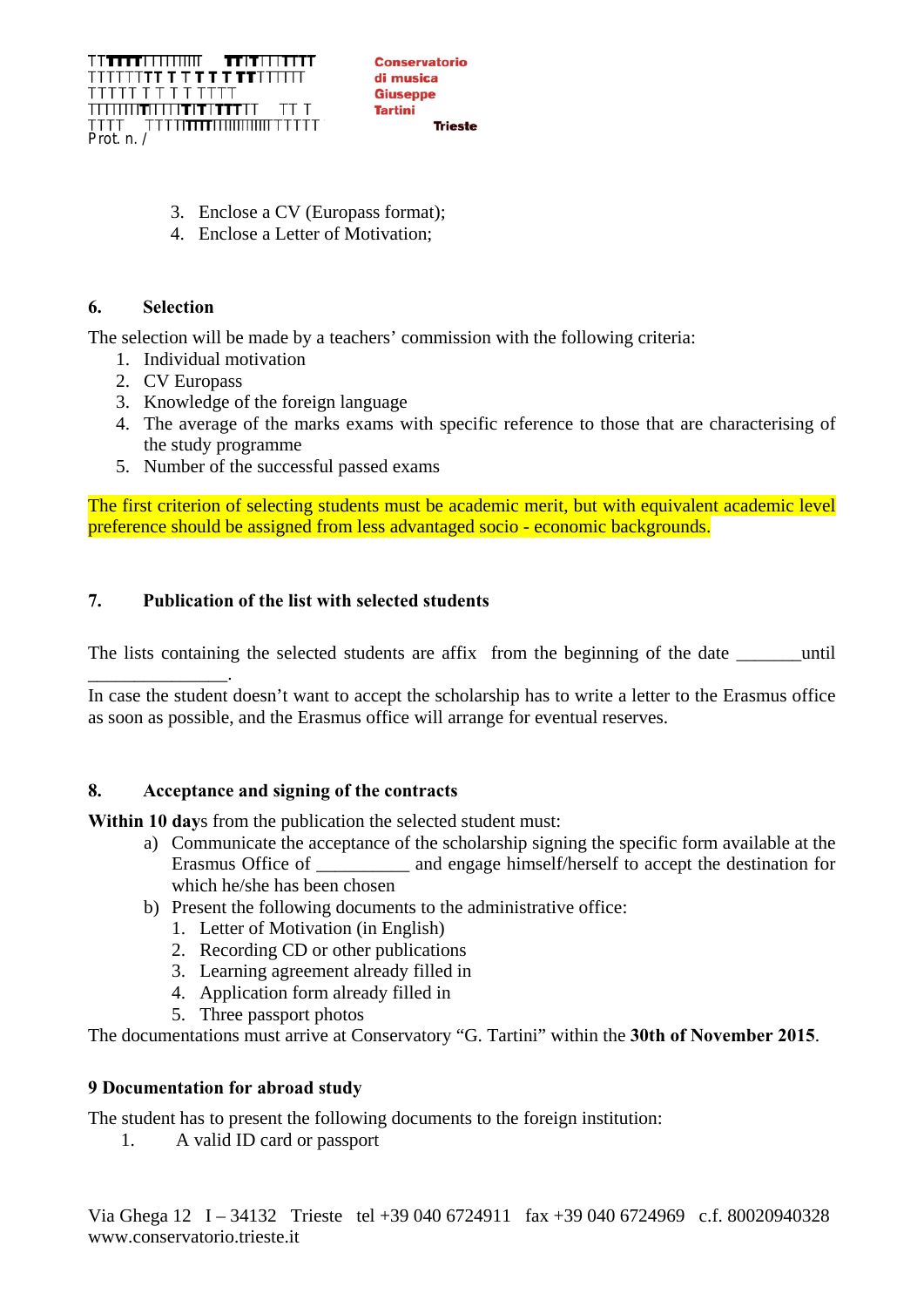TT**TTT**TITIIIIIIT  $\pi$ itii i $\pi$ it ┆┆<sup>╤</sup>┇┇┇**╅╈╶╸╅╻╸┪╺╅╅**┆┆┆┆┪<br>┍┍┍┍┍╶┍╶┍╶┍╶ <del>™™™™™™™™™™</del> Prot. n. /

**Conservatorio** di musica Giusenne **Tartini** 

- 3. Enclose a CV (Europass format);
- 4. Enclose a Letter of Motivation;

## **6. Selection**

The selection will be made by a teachers' commission with the following criteria:

- 1. Individual motivation
- 2. CV Europass
- 3. Knowledge of the foreign language
- 4. The average of the marks exams with specific reference to those that are characterising of the study programme
- 5. Number of the successful passed exams

The first criterion of selecting students must be academic merit, but with equivalent academic level preference should be assigned from less advantaged socio - economic backgrounds.

## **7. Publication of the list with selected students**

The lists containing the selected students are affix from the beginning of the date \_\_\_\_\_\_\_until

\_\_\_\_\_\_\_\_\_\_\_\_\_\_\_. In case the student doesn't want to accept the scholarship has to write a letter to the Erasmus office as soon as possible, and the Erasmus office will arrange for eventual reserves.

## **8. Acceptance and signing of the contracts**

**Within 10 day**s from the publication the selected student must:

- a) Communicate the acceptance of the scholarship signing the specific form available at the Erasmus Office of and engage himself/herself to accept the destination for and engage himself/herself to accept the destination for which he/she has been chosen
- b) Present the following documents to the administrative office:
	- 1. Letter of Motivation (in English)
	- 2. Recording CD or other publications
	- 3. Learning agreement already filled in
	- 4. Application form already filled in
	- 5. Three passport photos

The documentations must arrive at Conservatory "G. Tartini" within the **30th of November 2015**.

## **9 Documentation for abroad study**

The student has to present the following documents to the foreign institution:

1. A valid ID card or passport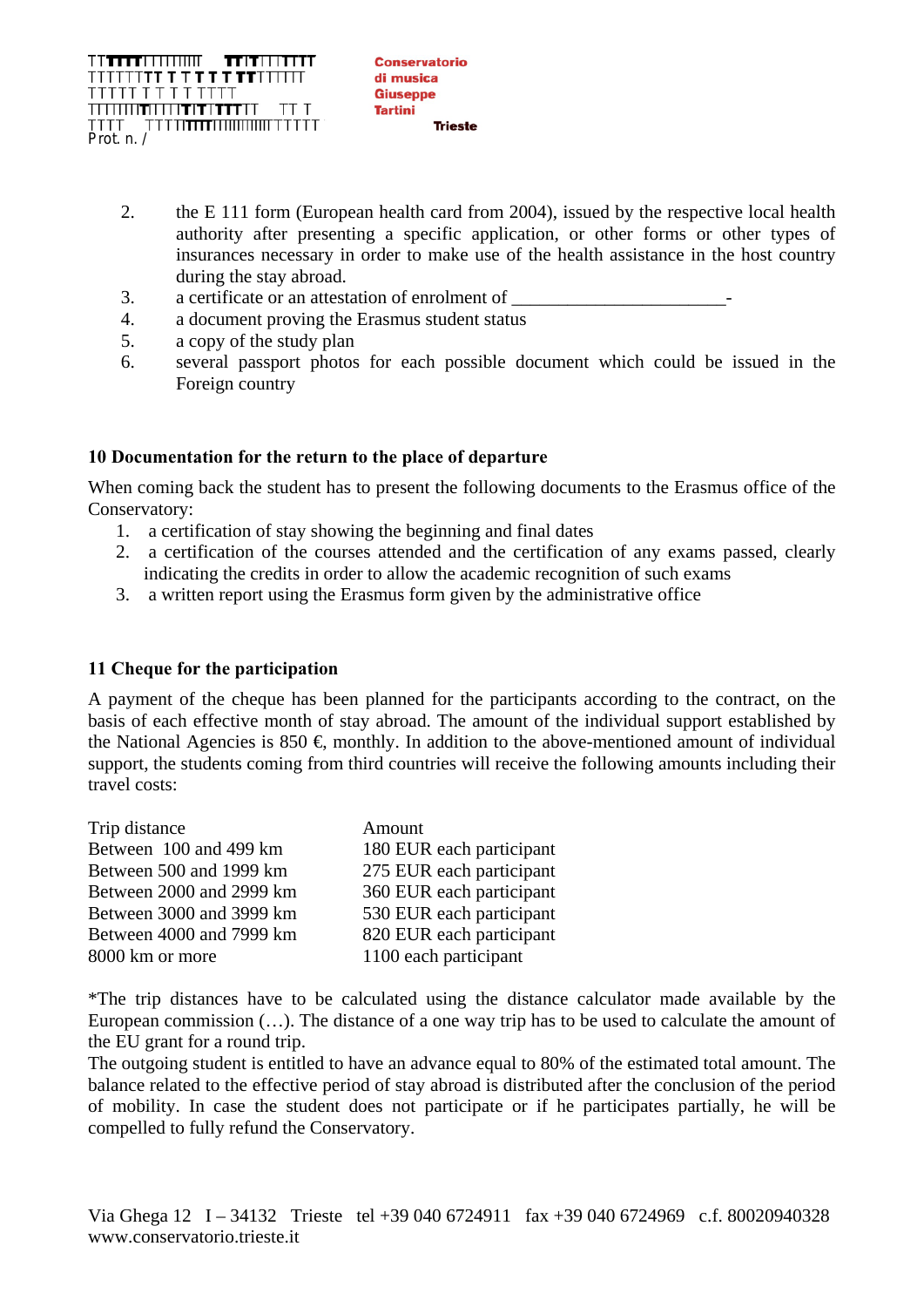- 2. the E 111 form (European health card from 2004), issued by the respective local health authority after presenting a specific application, or other forms or other types of insurances necessary in order to make use of the health assistance in the host country during the stay abroad.
- 3. a certificate or an attestation of enrolment of
- 4. a document proving the Erasmus student status
- 5. a copy of the study plan
- 6. several passport photos for each possible document which could be issued in the Foreign country

## **10 Documentation for the return to the place of departure**

When coming back the student has to present the following documents to the Erasmus office of the Conservatory:

- 1. a certification of stay showing the beginning and final dates
- 2. a certification of the courses attended and the certification of any exams passed, clearly indicating the credits in order to allow the academic recognition of such exams
- 3. a written report using the Erasmus form given by the administrative office

## **11 Cheque for the participation**

A payment of the cheque has been planned for the participants according to the contract, on the basis of each effective month of stay abroad. The amount of the individual support established by the National Agencies is  $850 \text{ } \in \text{monthly}$ . In addition to the above-mentioned amount of individual support, the students coming from third countries will receive the following amounts including their travel costs:

| Trip distance            | Amount                   |
|--------------------------|--------------------------|
| Between 100 and 499 km   | 180 EUR each participant |
| Between 500 and 1999 km  | 275 EUR each participant |
| Between 2000 and 2999 km | 360 EUR each participant |
| Between 3000 and 3999 km | 530 EUR each participant |
| Between 4000 and 7999 km | 820 EUR each participant |
| 8000 km or more          | 1100 each participant    |

\*The trip distances have to be calculated using the distance calculator made available by the European commission (…). The distance of a one way trip has to be used to calculate the amount of the EU grant for a round trip.

The outgoing student is entitled to have an advance equal to 80% of the estimated total amount. The balance related to the effective period of stay abroad is distributed after the conclusion of the period of mobility. In case the student does not participate or if he participates partially, he will be compelled to fully refund the Conservatory.